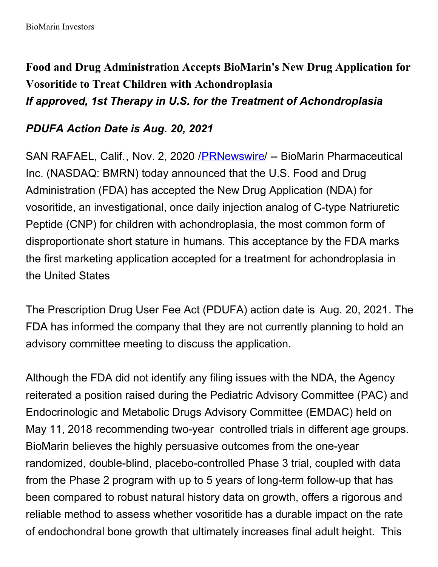# **Food and Drug Administration Accepts BioMarin's New Drug Application for Vosoritide to Treat Children with Achondroplasia** *If approved, 1st Therapy in U.S. for the Treatment of Achondroplasia*

# *PDUFA Action Date is Aug. 20, 2021*

SAN RAFAEL, Calif., Nov. 2, 2020 / [PRNewswire](http://www.prnewswire.com/)/ -- BioMarin Pharmaceutical Inc. (NASDAQ: BMRN) today announced that the U.S. Food and Drug Administration (FDA) has accepted the New Drug Application (NDA) for vosoritide, an investigational, once daily injection analog of C-type Natriuretic Peptide (CNP) for children with achondroplasia, the most common form of disproportionate short stature in humans. This acceptance by the FDA marks the first marketing application accepted for a treatment for achondroplasia in the United States

The Prescription Drug User Fee Act (PDUFA) action date is Aug. 20, 2021. The FDA has informed the company that they are not currently planning to hold an advisory committee meeting to discuss the application.

Although the FDA did not identify any filing issues with the NDA, the Agency reiterated a position raised during the Pediatric Advisory Committee (PAC) and Endocrinologic and Metabolic Drugs Advisory Committee (EMDAC) held on May 11, 2018 recommending two-year controlled trials in different age groups. BioMarin believes the highly persuasive outcomes from the one-year randomized, double-blind, placebo-controlled Phase 3 trial, coupled with data from the Phase 2 program with up to 5 years of long-term follow-up that has been compared to robust natural history data on growth, offers a rigorous and reliable method to assess whether vosoritide has a durable impact on the rate of endochondral bone growth that ultimately increases final adult height. This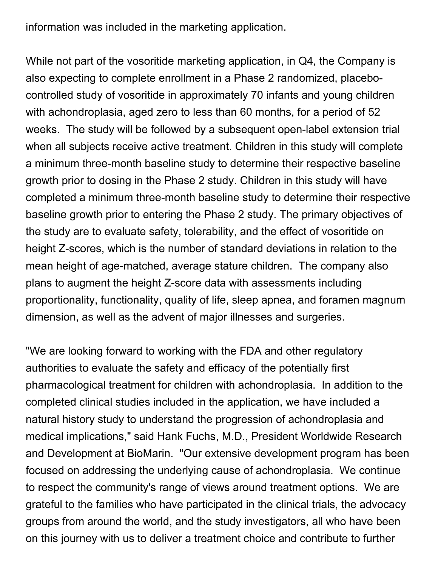information was included in the marketing application.

While not part of the vosoritide marketing application, in Q4, the Company is also expecting to complete enrollment in a Phase 2 randomized, placebocontrolled study of vosoritide in approximately 70 infants and young children with achondroplasia, aged zero to less than 60 months, for a period of 52 weeks. The study will be followed by a subsequent open-label extension trial when all subjects receive active treatment. Children in this study will complete a minimum three-month baseline study to determine their respective baseline growth prior to dosing in the Phase 2 study. Children in this study will have completed a minimum three-month baseline study to determine their respective baseline growth prior to entering the Phase 2 study. The primary objectives of the study are to evaluate safety, tolerability, and the effect of vosoritide on height Z-scores, which is the number of standard deviations in relation to the mean height of age-matched, average stature children. The company also plans to augment the height Z-score data with assessments including proportionality, functionality, quality of life, sleep apnea, and foramen magnum dimension, as well as the advent of major illnesses and surgeries.

"We are looking forward to working with the FDA and other regulatory authorities to evaluate the safety and efficacy of the potentially first pharmacological treatment for children with achondroplasia. In addition to the completed clinical studies included in the application, we have included a natural history study to understand the progression of achondroplasia and medical implications," said Hank Fuchs, M.D., President Worldwide Research and Development at BioMarin. "Our extensive development program has been focused on addressing the underlying cause of achondroplasia. We continue to respect the community's range of views around treatment options. We are grateful to the families who have participated in the clinical trials, the advocacy groups from around the world, and the study investigators, all who have been on this journey with us to deliver a treatment choice and contribute to further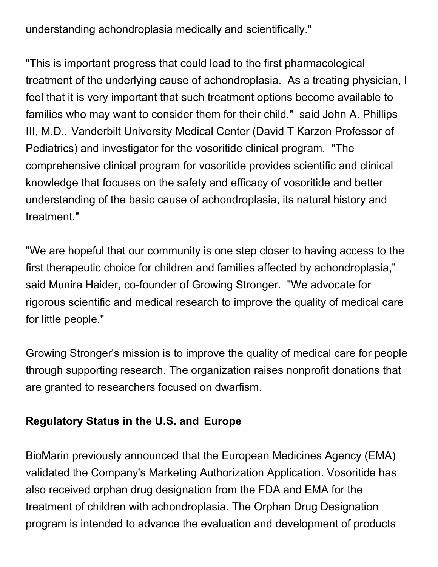understanding achondroplasia medically and scientifically."

"This is important progress that could lead to the first pharmacological treatment of the underlying cause of achondroplasia. As a treating physician, I feel that it is very important that such treatment options become available to families who may want to consider them for their child," said John A. Phillips III, M.D., Vanderbilt University Medical Center (David T Karzon Professor of Pediatrics) and investigator for the vosoritide clinical program. "The comprehensive clinical program for vosoritide provides scientific and clinical knowledge that focuses on the safety and efficacy of vosoritide and better understanding of the basic cause of achondroplasia, its natural history and treatment."

"We are hopeful that our community is one step closer to having access to the first therapeutic choice for children and families affected by achondroplasia," said Munira Haider, co-founder of Growing Stronger. "We advocate for rigorous scientific and medical research to improve the quality of medical care for little people."

Growing Stronger's mission is to improve the quality of medical care for people through supporting research. The organization raises nonprofit donations that are granted to researchers focused on dwarfism.

# **Regulatory Status in the U.S. and Europe**

BioMarin previously announced that the European Medicines Agency (EMA) validated the Company's Marketing Authorization Application. Vosoritide has also received orphan drug designation from the FDA and EMA for the treatment of children with achondroplasia. The Orphan Drug Designation program is intended to advance the evaluation and development of products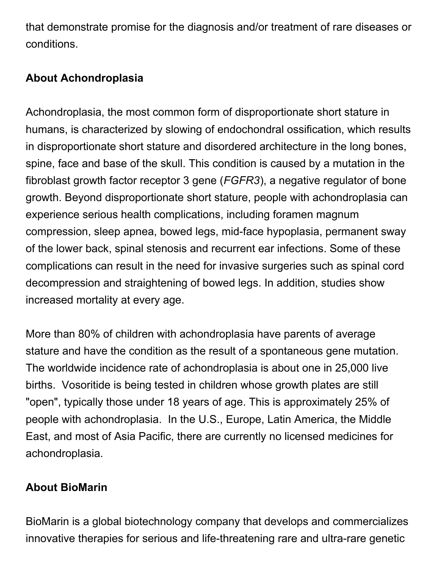that demonstrate promise for the diagnosis and/or treatment of rare diseases or conditions.

# **About Achondroplasia**

Achondroplasia, the most common form of disproportionate short stature in humans, is characterized by slowing of endochondral ossification, which results in disproportionate short stature and disordered architecture in the long bones, spine, face and base of the skull. This condition is caused by a mutation in the fibroblast growth factor receptor 3 gene (*FGFR3*), a negative regulator of bone growth. Beyond disproportionate short stature, people with achondroplasia can experience serious health complications, including foramen magnum compression, sleep apnea, bowed legs, mid-face hypoplasia, permanent sway of the lower back, spinal stenosis and recurrent ear infections. Some of these complications can result in the need for invasive surgeries such as spinal cord decompression and straightening of bowed legs. In addition, studies show increased mortality at every age.

More than 80% of children with achondroplasia have parents of average stature and have the condition as the result of a spontaneous gene mutation. The worldwide incidence rate of achondroplasia is about one in 25,000 live births. Vosoritide is being tested in children whose growth plates are still "open", typically those under 18 years of age. This is approximately 25% of people with achondroplasia. In the U.S., Europe, Latin America, the Middle East, and most of Asia Pacific, there are currently no licensed medicines for achondroplasia.

# **About BioMarin**

BioMarin is a global biotechnology company that develops and commercializes innovative therapies for serious and life-threatening rare and ultra-rare genetic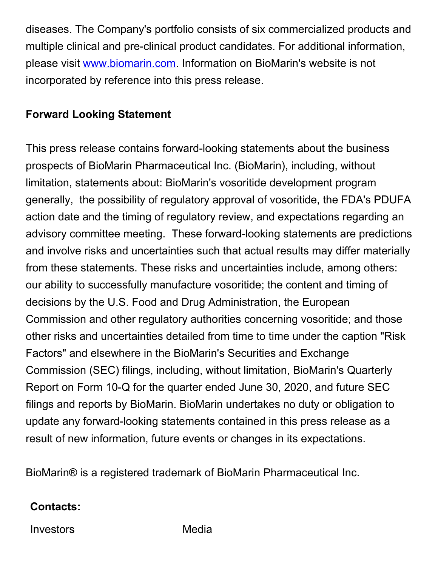diseases. The Company's portfolio consists of six commercialized products and multiple clinical and pre-clinical product candidates. For additional information, please visit [www.biomarin.com](https://c212.net/c/link/?t=0&l=en&o=2969811-1&h=1455420789&u=https%3A%2F%2Fc212.net%2Fc%2Flink%2F%3Ft%3D0%26l%3Den%26o%3D2891923-1%26h%3D1709396074%26u%3Dhttps%253A%252F%252Fc212.net%252Fc%252Flink%252F%253Ft%253D0%2526l%253Den%2526o%253D2866511-1%2526h%253D4246975951%2526u%253Dhttp%25253A%25252F%25252Fwww.biomarin.com%25252F%2526a%253Dwww.biomarin.com%26a%3Dwww.biomarin.com&a=www.biomarin.com). Information on BioMarin's website is not incorporated by reference into this press release.

# **Forward Looking Statement**

This press release contains forward-looking statements about the business prospects of BioMarin Pharmaceutical Inc. (BioMarin), including, without limitation, statements about: BioMarin's vosoritide development program generally, the possibility of regulatory approval of vosoritide, the FDA's PDUFA action date and the timing of regulatory review, and expectations regarding an advisory committee meeting. These forward-looking statements are predictions and involve risks and uncertainties such that actual results may differ materially from these statements. These risks and uncertainties include, among others: our ability to successfully manufacture vosoritide; the content and timing of decisions by the U.S. Food and Drug Administration, the European Commission and other regulatory authorities concerning vosoritide; and those other risks and uncertainties detailed from time to time under the caption "Risk Factors" and elsewhere in the BioMarin's Securities and Exchange Commission (SEC) filings, including, without limitation, BioMarin's Quarterly Report on Form 10-Q for the quarter ended June 30, 2020, and future SEC filings and reports by BioMarin. BioMarin undertakes no duty or obligation to update any forward-looking statements contained in this press release as a result of new information, future events or changes in its expectations.

BioMarin® is a registered trademark of BioMarin Pharmaceutical Inc.

#### **Contacts:**

Investors Media